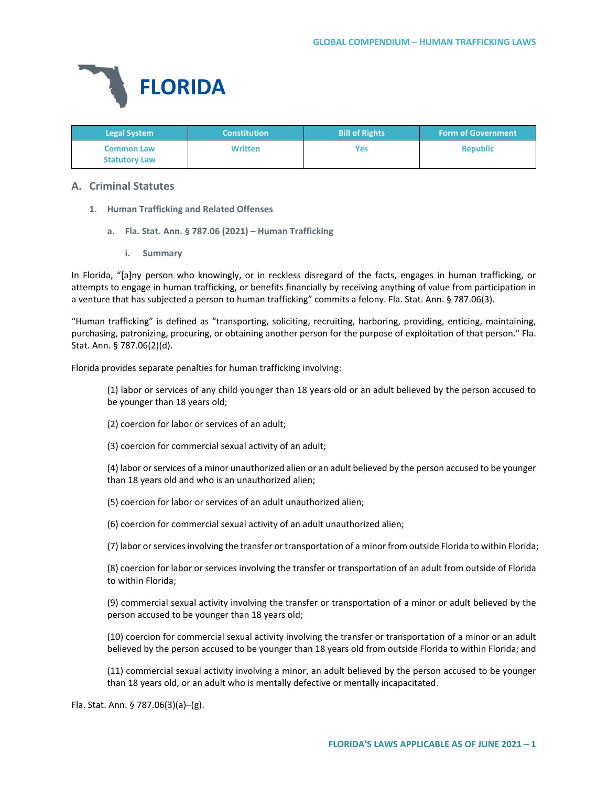

| <b>Legal System</b>                       | <b>Constitution</b> | <b>Bill of Rights</b> | <b>Form of Government</b> |
|-------------------------------------------|---------------------|-----------------------|---------------------------|
| <b>Common Law</b><br><b>Statutory Law</b> | <b>Written</b>      | Yes                   | <b>Republic</b>           |

# **A. Criminal Statutes**

- **1. Human Trafficking and Related Offenses**
	- **a. Fla. Stat. Ann. § 787.06 (2021) – Human Trafficking**
		- **i. Summary**

In Florida, "[a]ny person who knowingly, or in reckless disregard of the facts, engages in human trafficking, or attempts to engage in human trafficking, or benefits financially by receiving anything of value from participation in a venture that has subjected a person to human trafficking" commits a felony. Fla. Stat. Ann. § 787.06(3).

"Human trafficking" is defined as "transporting, soliciting, recruiting, harboring, providing, enticing, maintaining, purchasing, patronizing, procuring, or obtaining another person for the purpose of exploitation of that person." Fla. Stat. Ann. § 787.06(2)(d).

Florida provides separate penalties for human trafficking involving:

(1) labor or services of any child younger than 18 years old or an adult believed by the person accused to be younger than 18 years old;

- (2) coercion for labor or services of an adult;
- (3) coercion for commercial sexual activity of an adult;

(4) labor or services of a minor unauthorized alien or an adult believed by the person accused to be younger than 18 years old and who is an unauthorized alien;

(5) coercion for labor or services of an adult unauthorized alien;

(6) coercion for commercial sexual activity of an adult unauthorized alien;

(7) labor or services involving the transfer or transportation of a minor from outside Florida to within Florida;

(8) coercion for labor or services involving the transfer or transportation of an adult from outside of Florida to within Florida;

(9) commercial sexual activity involving the transfer or transportation of a minor or adult believed by the person accused to be younger than 18 years old;

(10) coercion for commercial sexual activity involving the transfer or transportation of a minor or an adult believed by the person accused to be younger than 18 years old from outside Florida to within Florida; and

(11) commercial sexual activity involving a minor, an adult believed by the person accused to be younger than 18 years old, or an adult who is mentally defective or mentally incapacitated.

Fla. Stat. Ann. § 787.06(3)(a)–(g).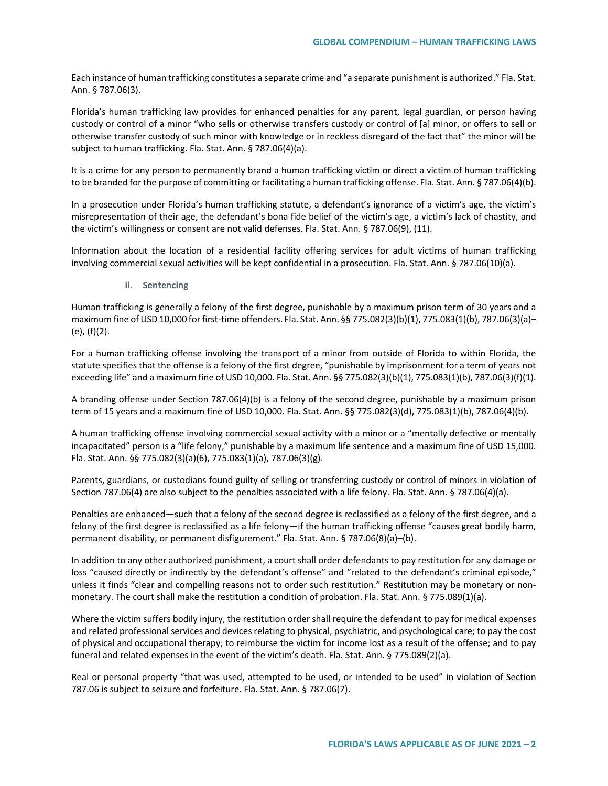Each instance of human trafficking constitutes a separate crime and "a separate punishment is authorized." Fla. Stat. Ann. § 787.06(3).

Florida's human trafficking law provides for enhanced penalties for any parent, legal guardian, or person having custody or control of a minor "who sells or otherwise transfers custody or control of [a] minor, or offers to sell or otherwise transfer custody of such minor with knowledge or in reckless disregard of the fact that" the minor will be subject to human trafficking. Fla. Stat. Ann. § 787.06(4)(a).

It is a crime for any person to permanently brand a human trafficking victim or direct a victim of human trafficking to be branded for the purpose of committing or facilitating a human trafficking offense. Fla. Stat. Ann. § 787.06(4)(b).

In a prosecution under Florida's human trafficking statute, a defendant's ignorance of a victim's age, the victim's misrepresentation of their age, the defendant's bona fide belief of the victim's age, a victim's lack of chastity, and the victim's willingness or consent are not valid defenses. Fla. Stat. Ann. § 787.06(9), (11).

Information about the location of a residential facility offering services for adult victims of human trafficking involving commercial sexual activities will be kept confidential in a prosecution. Fla. Stat. Ann. § 787.06(10)(a).

**ii. Sentencing**

Human trafficking is generally a felony of the first degree, punishable by a maximum prison term of 30 years and a maximum fine of USD 10,000 for first-time offenders. Fla. Stat. Ann. §§ 775.082(3)(b)(1), 775.083(1)(b), 787.06(3)(a)– (e), (f)(2).

For a human trafficking offense involving the transport of a minor from outside of Florida to within Florida, the statute specifies that the offense is a felony of the first degree, "punishable by imprisonment for a term of years not exceeding life" and a maximum fine of USD 10,000. Fla. Stat. Ann. §§ 775.082(3)(b)(1), 775.083(1)(b), 787.06(3)(f)(1).

A branding offense under Section 787.06(4)(b) is a felony of the second degree, punishable by a maximum prison term of 15 years and a maximum fine of USD 10,000. Fla. Stat. Ann. §§ 775.082(3)(d), 775.083(1)(b), 787.06(4)(b).

A human trafficking offense involving commercial sexual activity with a minor or a "mentally defective or mentally incapacitated" person is a "life felony," punishable by a maximum life sentence and a maximum fine of USD 15,000. Fla. Stat. Ann. §§ 775.082(3)(a)(6), 775.083(1)(a), 787.06(3)(g).

Parents, guardians, or custodians found guilty of selling or transferring custody or control of minors in violation of Section 787.06(4) are also subject to the penalties associated with a life felony. Fla. Stat. Ann. § 787.06(4)(a).

Penalties are enhanced—such that a felony of the second degree is reclassified as a felony of the first degree, and a felony of the first degree is reclassified as a life felony—if the human trafficking offense "causes great bodily harm, permanent disability, or permanent disfigurement." Fla. Stat. Ann. § 787.06(8)(a)–(b).

In addition to any other authorized punishment, a court shall order defendants to pay restitution for any damage or loss "caused directly or indirectly by the defendant's offense" and "related to the defendant's criminal episode," unless it finds "clear and compelling reasons not to order such restitution." Restitution may be monetary or nonmonetary. The court shall make the restitution a condition of probation. Fla. Stat. Ann. § 775.089(1)(a).

Where the victim suffers bodily injury, the restitution order shall require the defendant to pay for medical expenses and related professional services and devices relating to physical, psychiatric, and psychological care; to pay the cost of physical and occupational therapy; to reimburse the victim for income lost as a result of the offense; and to pay funeral and related expenses in the event of the victim's death. Fla. Stat. Ann. § 775.089(2)(a).

Real or personal property "that was used, attempted to be used, or intended to be used" in violation of Section 787.06 is subject to seizure and forfeiture. Fla. Stat. Ann. § 787.06(7).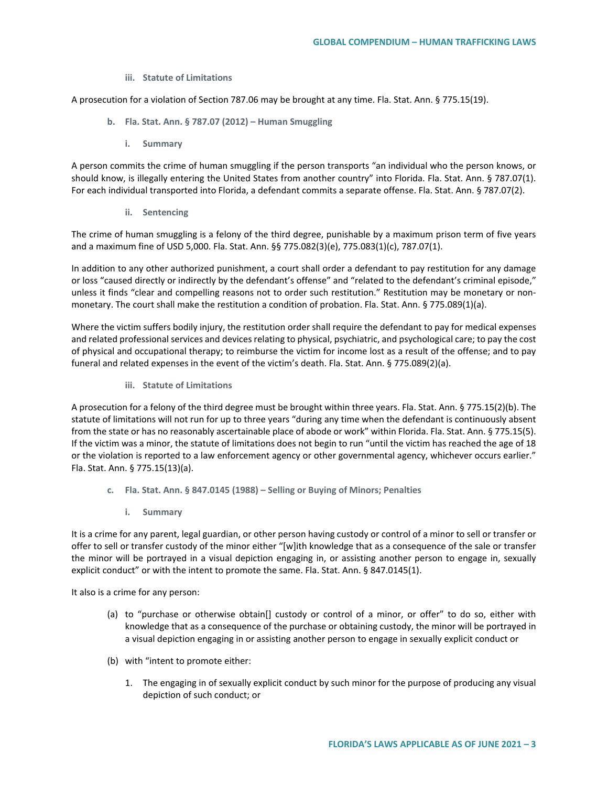**iii. Statute of Limitations**

A prosecution for a violation of Section 787.06 may be brought at any time. Fla. Stat. Ann. § 775.15(19).

- **b. Fla. Stat. Ann. § 787.07 (2012) – Human Smuggling** 
	- **i. Summary**

A person commits the crime of human smuggling if the person transports "an individual who the person knows, or should know, is illegally entering the United States from another country" into Florida. Fla. Stat. Ann. § 787.07(1). For each individual transported into Florida, a defendant commits a separate offense. Fla. Stat. Ann. § 787.07(2).

**ii. Sentencing**

The crime of human smuggling is a felony of the third degree, punishable by a maximum prison term of five years and a maximum fine of USD 5,000. Fla. Stat. Ann. §§ 775.082(3)(e), 775.083(1)(c), 787.07(1).

In addition to any other authorized punishment, a court shall order a defendant to pay restitution for any damage or loss "caused directly or indirectly by the defendant's offense" and "related to the defendant's criminal episode," unless it finds "clear and compelling reasons not to order such restitution." Restitution may be monetary or nonmonetary. The court shall make the restitution a condition of probation. Fla. Stat. Ann. § 775.089(1)(a).

Where the victim suffers bodily injury, the restitution order shall require the defendant to pay for medical expenses and related professional services and devices relating to physical, psychiatric, and psychological care; to pay the cost of physical and occupational therapy; to reimburse the victim for income lost as a result of the offense; and to pay funeral and related expenses in the event of the victim's death. Fla. Stat. Ann. § 775.089(2)(a).

**iii. Statute of Limitations**

A prosecution for a felony of the third degree must be brought within three years. Fla. Stat. Ann. § 775.15(2)(b). The statute of limitations will not run for up to three years "during any time when the defendant is continuously absent from the state or has no reasonably ascertainable place of abode or work" within Florida. Fla. Stat. Ann. § 775.15(5). If the victim was a minor, the statute of limitations does not begin to run "until the victim has reached the age of 18 or the violation is reported to a law enforcement agency or other governmental agency, whichever occurs earlier." Fla. Stat. Ann. § 775.15(13)(a).

- **c. Fla. Stat. Ann. § 847.0145 (1988) – Selling or Buying of Minors; Penalties**
	- **i. Summary**

It is a crime for any parent, legal guardian, or other person having custody or control of a minor to sell or transfer or offer to sell or transfer custody of the minor either "[w]ith knowledge that as a consequence of the sale or transfer the minor will be portrayed in a visual depiction engaging in, or assisting another person to engage in, sexually explicit conduct" or with the intent to promote the same. Fla. Stat. Ann. § 847.0145(1).

It also is a crime for any person:

- (a) to "purchase or otherwise obtain[] custody or control of a minor, or offer" to do so, either with knowledge that as a consequence of the purchase or obtaining custody, the minor will be portrayed in a visual depiction engaging in or assisting another person to engage in sexually explicit conduct or
- (b) with "intent to promote either:
	- 1. The engaging in of sexually explicit conduct by such minor for the purpose of producing any visual depiction of such conduct; or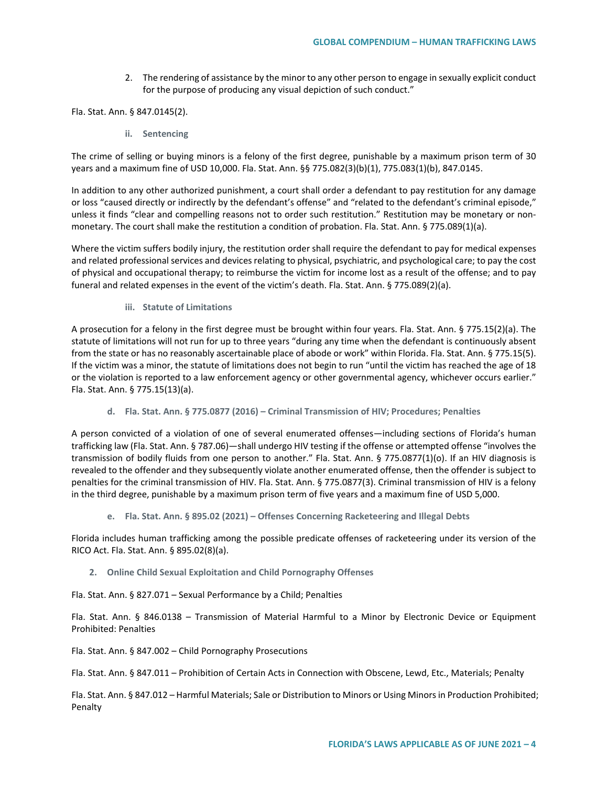2. The rendering of assistance by the minor to any other person to engage in sexually explicit conduct for the purpose of producing any visual depiction of such conduct."

Fla. Stat. Ann. § 847.0145(2).

**ii. Sentencing**

The crime of selling or buying minors is a felony of the first degree, punishable by a maximum prison term of 30 years and a maximum fine of USD 10,000. Fla. Stat. Ann. §§ 775.082(3)(b)(1), 775.083(1)(b), 847.0145.

In addition to any other authorized punishment, a court shall order a defendant to pay restitution for any damage or loss "caused directly or indirectly by the defendant's offense" and "related to the defendant's criminal episode," unless it finds "clear and compelling reasons not to order such restitution." Restitution may be monetary or nonmonetary. The court shall make the restitution a condition of probation. Fla. Stat. Ann. § 775.089(1)(a).

Where the victim suffers bodily injury, the restitution order shall require the defendant to pay for medical expenses and related professional services and devices relating to physical, psychiatric, and psychological care; to pay the cost of physical and occupational therapy; to reimburse the victim for income lost as a result of the offense; and to pay funeral and related expenses in the event of the victim's death. Fla. Stat. Ann. § 775.089(2)(a).

**iii. Statute of Limitations**

A prosecution for a felony in the first degree must be brought within four years. Fla. Stat. Ann. § 775.15(2)(a). The statute of limitations will not run for up to three years "during any time when the defendant is continuously absent from the state or has no reasonably ascertainable place of abode or work" within Florida. Fla. Stat. Ann. § 775.15(5). If the victim was a minor, the statute of limitations does not begin to run "until the victim has reached the age of 18 or the violation is reported to a law enforcement agency or other governmental agency, whichever occurs earlier." Fla. Stat. Ann. § 775.15(13)(a).

# **d. Fla. Stat. Ann. § 775.0877 (2016) – Criminal Transmission of HIV; Procedures; Penalties**

A person convicted of a violation of one of several enumerated offenses—including sections of Florida's human trafficking law (Fla. Stat. Ann. § 787.06)—shall undergo HIV testing if the offense or attempted offense "involves the transmission of bodily fluids from one person to another." Fla. Stat. Ann. § 775.0877(1)(o). If an HIV diagnosis is revealed to the offender and they subsequently violate another enumerated offense, then the offender is subject to penalties for the criminal transmission of HIV. Fla. Stat. Ann. § 775.0877(3). Criminal transmission of HIV is a felony in the third degree, punishable by a maximum prison term of five years and a maximum fine of USD 5,000.

**e. Fla. Stat. Ann. § 895.02 (2021) – Offenses Concerning Racketeering and Illegal Debts**

Florida includes human trafficking among the possible predicate offenses of racketeering under its version of the RICO Act. Fla. Stat. Ann. § 895.02(8)(a).

**2. Online Child Sexual Exploitation and Child Pornography Offenses**

Fla. Stat. Ann. § 827.071 – Sexual Performance by a Child; Penalties

Fla. Stat. Ann. § 846.0138 – Transmission of Material Harmful to a Minor by Electronic Device or Equipment Prohibited: Penalties

Fla. Stat. Ann. § 847.002 – Child Pornography Prosecutions

Fla. Stat. Ann. § 847.011 – Prohibition of Certain Acts in Connection with Obscene, Lewd, Etc., Materials; Penalty

Fla. Stat. Ann. § 847.012 – Harmful Materials; Sale or Distribution to Minors or Using Minors in Production Prohibited; Penalty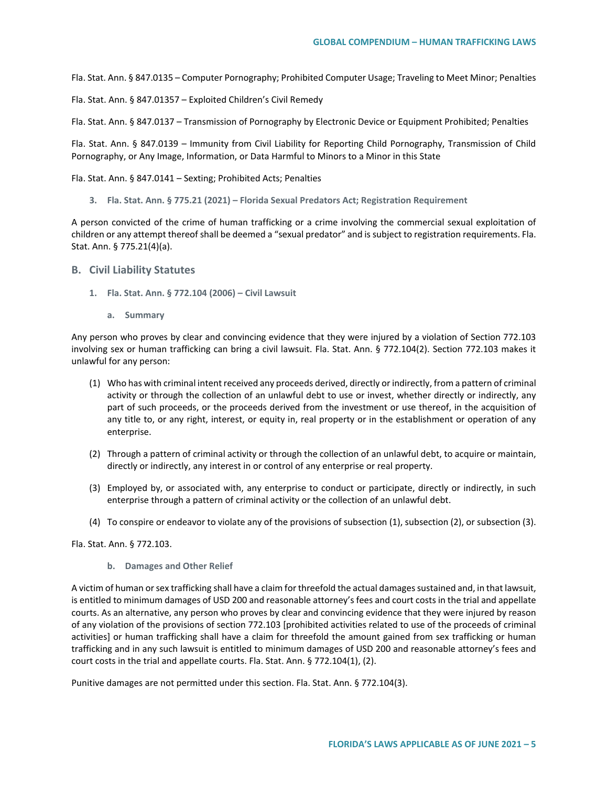Fla. Stat. Ann. § 847.0135 – Computer Pornography; Prohibited Computer Usage; Traveling to Meet Minor; Penalties

Fla. Stat. Ann. § 847.01357 – Exploited Children's Civil Remedy

Fla. Stat. Ann. § 847.0137 – Transmission of Pornography by Electronic Device or Equipment Prohibited; Penalties

Fla. Stat. Ann. § 847.0139 – Immunity from Civil Liability for Reporting Child Pornography, Transmission of Child Pornography, or Any Image, Information, or Data Harmful to Minors to a Minor in this State

Fla. Stat. Ann. § 847.0141 – Sexting; Prohibited Acts; Penalties

**3. Fla. Stat. Ann. § 775.21 (2021) – Florida Sexual Predators Act; Registration Requirement**

A person convicted of the crime of human trafficking or a crime involving the commercial sexual exploitation of children or any attempt thereof shall be deemed a "sexual predator" and is subject to registration requirements. Fla. Stat. Ann. § 775.21(4)(a).

#### **B. Civil Liability Statutes**

- **1. Fla. Stat. Ann. § 772.104 (2006) – Civil Lawsuit** 
	- **a. Summary**

Any person who proves by clear and convincing evidence that they were injured by a violation of Section 772.103 involving sex or human trafficking can bring a civil lawsuit. Fla. Stat. Ann. § 772.104(2). Section 772.103 makes it unlawful for any person:

- (1) Who has with criminal intent received any proceeds derived, directly or indirectly, from a pattern of criminal activity or through the collection of an unlawful debt to use or invest, whether directly or indirectly, any part of such proceeds, or the proceeds derived from the investment or use thereof, in the acquisition of any title to, or any right, interest, or equity in, real property or in the establishment or operation of any enterprise.
- (2) Through a pattern of criminal activity or through the collection of an unlawful debt, to acquire or maintain, directly or indirectly, any interest in or control of any enterprise or real property.
- (3) Employed by, or associated with, any enterprise to conduct or participate, directly or indirectly, in such enterprise through a pattern of criminal activity or the collection of an unlawful debt.
- (4) To conspire or endeavor to violate any of the provisions of subsection (1), subsection (2), or subsection (3).

Fla. Stat. Ann. § 772.103.

**b. Damages and Other Relief**

A victim of human or sex trafficking shall have a claim for threefold the actual damages sustained and, in that lawsuit, is entitled to minimum damages of USD 200 and reasonable attorney's fees and court costs in the trial and appellate courts. As an alternative, any person who proves by clear and convincing evidence that they were injured by reason of any violation of the provisions of section 772.103 [prohibited activities related to use of the proceeds of criminal activities] or human trafficking shall have a claim for threefold the amount gained from sex trafficking or human trafficking and in any such lawsuit is entitled to minimum damages of USD 200 and reasonable attorney's fees and court costs in the trial and appellate courts. Fla. Stat. Ann. § 772.104(1), (2).

Punitive damages are not permitted under this section. Fla. Stat. Ann. § 772.104(3).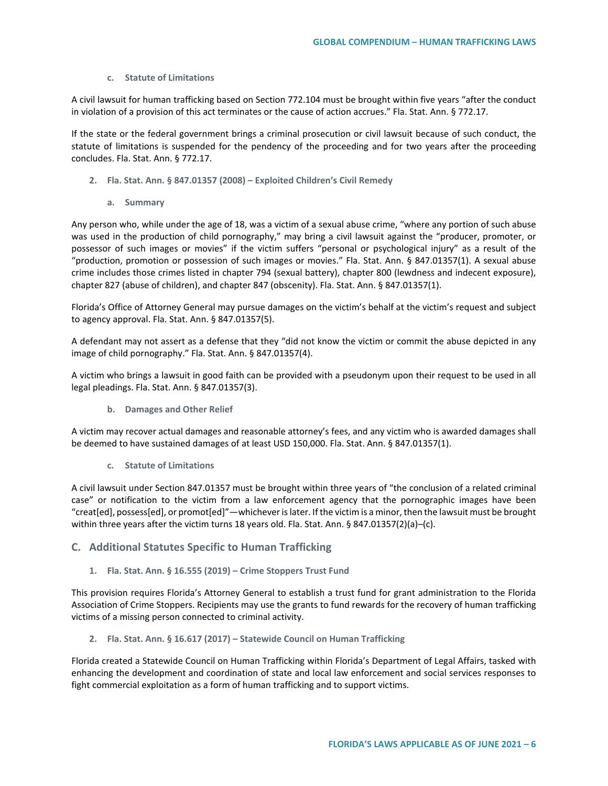# **c. Statute of Limitations**

A civil lawsuit for human trafficking based on Section 772.104 must be brought within five years "after the conduct in violation of a provision of this act terminates or the cause of action accrues." Fla. Stat. Ann. § 772.17.

If the state or the federal government brings a criminal prosecution or civil lawsuit because of such conduct, the statute of limitations is suspended for the pendency of the proceeding and for two years after the proceeding concludes. Fla. Stat. Ann. § 772.17.

- **2. Fla. Stat. Ann. § 847.01357 (2008) – Exploited Children's Civil Remedy**
	- **a. Summary**

Any person who, while under the age of 18, was a victim of a sexual abuse crime, "where any portion of such abuse was used in the production of child pornography," may bring a civil lawsuit against the "producer, promoter, or possessor of such images or movies" if the victim suffers "personal or psychological injury" as a result of the "production, promotion or possession of such images or movies." Fla. Stat. Ann. § 847.01357(1). A sexual abuse crime includes those crimes listed in chapter 794 (sexual battery), chapter 800 (lewdness and indecent exposure), chapter 827 (abuse of children), and chapter 847 (obscenity). Fla. Stat. Ann. § 847.01357(1).

Florida's Office of Attorney General may pursue damages on the victim's behalf at the victim's request and subject to agency approval. Fla. Stat. Ann. § 847.01357(5).

A defendant may not assert as a defense that they "did not know the victim or commit the abuse depicted in any image of child pornography." Fla. Stat. Ann. § 847.01357(4).

A victim who brings a lawsuit in good faith can be provided with a pseudonym upon their request to be used in all legal pleadings. Fla. Stat. Ann. § 847.01357(3).

**b. Damages and Other Relief**

A victim may recover actual damages and reasonable attorney's fees, and any victim who is awarded damages shall be deemed to have sustained damages of at least USD 150,000. Fla. Stat. Ann. § 847.01357(1).

**c. Statute of Limitations** 

A civil lawsuit under Section 847.01357 must be brought within three years of "the conclusion of a related criminal case" or notification to the victim from a law enforcement agency that the pornographic images have been "creat[ed], possess[ed], or promot[ed]"—whichever is later. If the victim is a minor, then the lawsuit must be brought within three years after the victim turns 18 years old. Fla. Stat. Ann. § 847.01357(2)(a)–(c).

# **C. Additional Statutes Specific to Human Trafficking**

# **1. Fla. Stat. Ann. § 16.555 (2019) – Crime Stoppers Trust Fund**

This provision requires Florida's Attorney General to establish a trust fund for grant administration to the Florida Association of Crime Stoppers. Recipients may use the grants to fund rewards for the recovery of human trafficking victims of a missing person connected to criminal activity.

# **2. Fla. Stat. Ann. § 16.617 (2017) – Statewide Council on Human Trafficking**

Florida created a Statewide Council on Human Trafficking within Florida's Department of Legal Affairs, tasked with enhancing the development and coordination of state and local law enforcement and social services responses to fight commercial exploitation as a form of human trafficking and to support victims.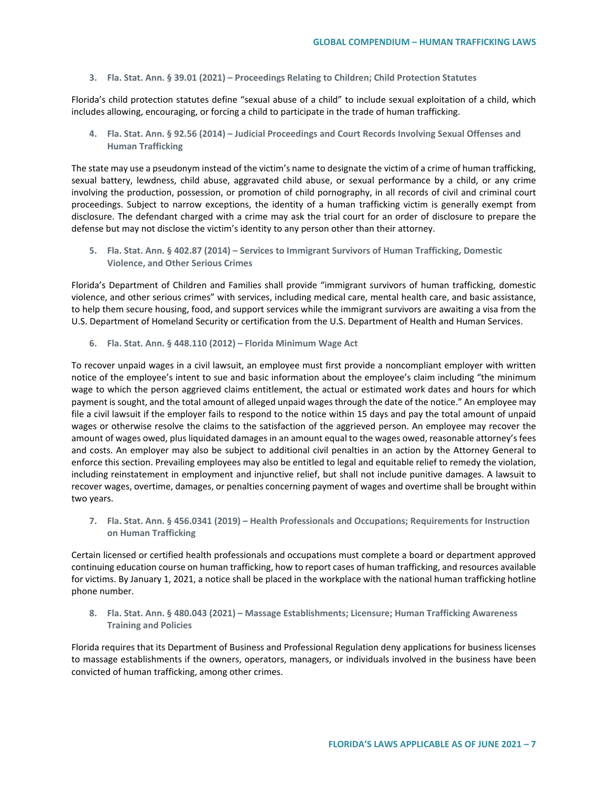**3. Fla. Stat. Ann. § 39.01 (2021) – Proceedings Relating to Children; Child Protection Statutes**

Florida's child protection statutes define "sexual abuse of a child" to include sexual exploitation of a child, which includes allowing, encouraging, or forcing a child to participate in the trade of human trafficking.

**4. Fla. Stat. Ann. § 92.56 (2014) – Judicial Proceedings and Court Records Involving Sexual Offenses and Human Trafficking**

The state may use a pseudonym instead of the victim's name to designate the victim of a crime of human trafficking, sexual battery, lewdness, child abuse, aggravated child abuse, or sexual performance by a child, or any crime involving the production, possession, or promotion of child pornography, in all records of civil and criminal court proceedings. Subject to narrow exceptions, the identity of a human trafficking victim is generally exempt from disclosure. The defendant charged with a crime may ask the trial court for an order of disclosure to prepare the defense but may not disclose the victim's identity to any person other than their attorney.

**5. Fla. Stat. Ann. § 402.87 (2014) – Services to Immigrant Survivors of Human Trafficking, Domestic Violence, and Other Serious Crimes**

Florida's Department of Children and Families shall provide "immigrant survivors of human trafficking, domestic violence, and other serious crimes" with services, including medical care, mental health care, and basic assistance, to help them secure housing, food, and support services while the immigrant survivors are awaiting a visa from the U.S. Department of Homeland Security or certification from the U.S. Department of Health and Human Services.

**6. Fla. Stat. Ann. § 448.110 (2012) – Florida Minimum Wage Act**

To recover unpaid wages in a civil lawsuit, an employee must first provide a noncompliant employer with written notice of the employee's intent to sue and basic information about the employee's claim including "the minimum wage to which the person aggrieved claims entitlement, the actual or estimated work dates and hours for which payment is sought, and the total amount of alleged unpaid wages through the date of the notice." An employee may file a civil lawsuit if the employer fails to respond to the notice within 15 days and pay the total amount of unpaid wages or otherwise resolve the claims to the satisfaction of the aggrieved person. An employee may recover the amount of wages owed, plus liquidated damages in an amount equal to the wages owed, reasonable attorney's fees and costs. An employer may also be subject to additional civil penalties in an action by the Attorney General to enforce this section. Prevailing employees may also be entitled to legal and equitable relief to remedy the violation, including reinstatement in employment and injunctive relief, but shall not include punitive damages. A lawsuit to recover wages, overtime, damages, or penalties concerning payment of wages and overtime shall be brought within two years.

**7. Fla. Stat. Ann. § 456.0341 (2019) – Health Professionals and Occupations; Requirements for Instruction on Human Trafficking**

Certain licensed or certified health professionals and occupations must complete a board or department approved continuing education course on human trafficking, how to report cases of human trafficking, and resources available for victims. By January 1, 2021, a notice shall be placed in the workplace with the national human trafficking hotline phone number.

**8. Fla. Stat. Ann. § 480.043 (2021) – Massage Establishments; Licensure; Human Trafficking Awareness Training and Policies**

Florida requires that its Department of Business and Professional Regulation deny applications for business licenses to massage establishments if the owners, operators, managers, or individuals involved in the business have been convicted of human trafficking, among other crimes.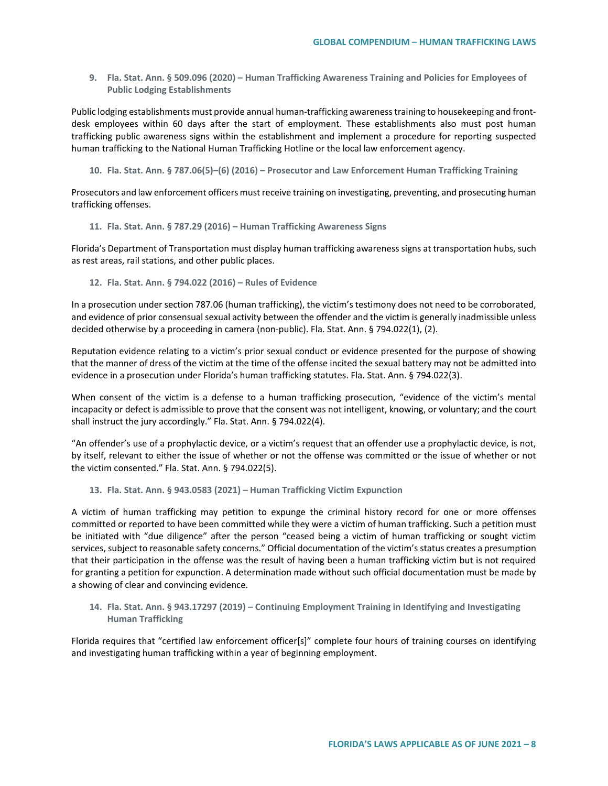**9. Fla. Stat. Ann. § 509.096 (2020) – Human Trafficking Awareness Training and Policies for Employees of Public Lodging Establishments**

Public lodging establishments must provide annual human-trafficking awareness training to housekeeping and frontdesk employees within 60 days after the start of employment. These establishments also must post human trafficking public awareness signs within the establishment and implement a procedure for reporting suspected human trafficking to the National Human Trafficking Hotline or the local law enforcement agency.

**10. Fla. Stat. Ann. § 787.06(5)–(6) (2016) – Prosecutor and Law Enforcement Human Trafficking Training**

Prosecutors and law enforcement officers must receive training on investigating, preventing, and prosecuting human trafficking offenses.

**11. Fla. Stat. Ann. § 787.29 (2016) – Human Trafficking Awareness Signs** 

Florida's Department of Transportation must display human trafficking awareness signs at transportation hubs, such as rest areas, rail stations, and other public places.

**12. Fla. Stat. Ann. § 794.022 (2016) – Rules of Evidence**

In a prosecution under section 787.06 (human trafficking), the victim's testimony does not need to be corroborated, and evidence of prior consensual sexual activity between the offender and the victim is generally inadmissible unless decided otherwise by a proceeding in camera (non-public). Fla. Stat. Ann. § 794.022(1), (2).

Reputation evidence relating to a victim's prior sexual conduct or evidence presented for the purpose of showing that the manner of dress of the victim at the time of the offense incited the sexual battery may not be admitted into evidence in a prosecution under Florida's human trafficking statutes. Fla. Stat. Ann. § 794.022(3).

When consent of the victim is a defense to a human trafficking prosecution, "evidence of the victim's mental incapacity or defect is admissible to prove that the consent was not intelligent, knowing, or voluntary; and the court shall instruct the jury accordingly." Fla. Stat. Ann. § 794.022(4).

"An offender's use of a prophylactic device, or a victim's request that an offender use a prophylactic device, is not, by itself, relevant to either the issue of whether or not the offense was committed or the issue of whether or not the victim consented." Fla. Stat. Ann. § 794.022(5).

**13. Fla. Stat. Ann. § 943.0583 (2021) – Human Trafficking Victim Expunction** 

A victim of human trafficking may petition to expunge the criminal history record for one or more offenses committed or reported to have been committed while they were a victim of human trafficking. Such a petition must be initiated with "due diligence" after the person "ceased being a victim of human trafficking or sought victim services, subject to reasonable safety concerns." Official documentation of the victim's status creates a presumption that their participation in the offense was the result of having been a human trafficking victim but is not required for granting a petition for expunction. A determination made without such official documentation must be made by a showing of clear and convincing evidence.

**14. Fla. Stat. Ann. § 943.17297 (2019) – Continuing Employment Training in Identifying and Investigating Human Trafficking**

Florida requires that "certified law enforcement officer[s]" complete four hours of training courses on identifying and investigating human trafficking within a year of beginning employment.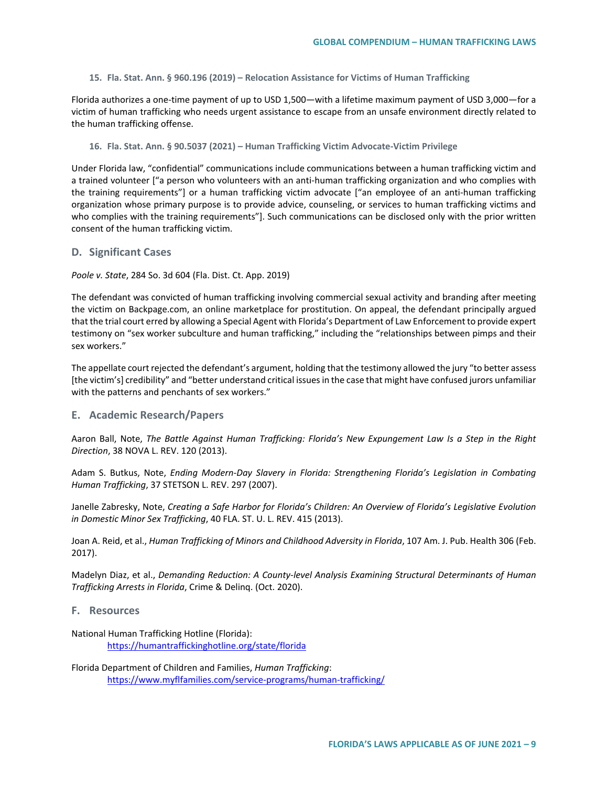**15. Fla. Stat. Ann. § 960.196 (2019) – Relocation Assistance for Victims of Human Trafficking**

Florida authorizes a one-time payment of up to USD 1,500—with a lifetime maximum payment of USD 3,000—for a victim of human trafficking who needs urgent assistance to escape from an unsafe environment directly related to the human trafficking offense.

**16. Fla. Stat. Ann. § 90.5037 (2021) – Human Trafficking Victim Advocate-Victim Privilege**

Under Florida law, "confidential" communications include communications between a human trafficking victim and a trained volunteer ["a person who volunteers with an anti-human trafficking organization and who complies with the training requirements"] or a human trafficking victim advocate ["an employee of an anti-human trafficking organization whose primary purpose is to provide advice, counseling, or services to human trafficking victims and who complies with the training requirements"]. Such communications can be disclosed only with the prior written consent of the human trafficking victim.

#### **D. Significant Cases**

*Poole v. State*, 284 So. 3d 604 (Fla. Dist. Ct. App. 2019)

The defendant was convicted of human trafficking involving commercial sexual activity and branding after meeting the victim on Backpage.com, an online marketplace for prostitution. On appeal, the defendant principally argued that the trial court erred by allowing a Special Agent with Florida's Department of Law Enforcement to provide expert testimony on "sex worker subculture and human trafficking," including the "relationships between pimps and their sex workers."

The appellate court rejected the defendant's argument, holding that the testimony allowed the jury "to better assess [the victim's] credibility" and "better understand critical issues in the case that might have confused jurors unfamiliar with the patterns and penchants of sex workers."

# **E. Academic Research/Papers**

Aaron Ball, Note, *The Battle Against Human Trafficking: Florida's New Expungement Law Is a Step in the Right Direction*, 38 NOVA L. REV. 120 (2013).

Adam S. Butkus, Note, *Ending Modern-Day Slavery in Florida: Strengthening Florida's Legislation in Combating Human Trafficking*, 37 STETSON L. REV. 297 (2007).

Janelle Zabresky, Note, *Creating a Safe Harbor for Florida's Children: An Overview of Florida's Legislative Evolution in Domestic Minor Sex Trafficking*, 40 FLA. ST. U. L. REV. 415 (2013).

Joan A. Reid, et al., *Human Trafficking of Minors and Childhood Adversity in Florida*, 107 Am. J. Pub. Health 306 (Feb. 2017).

Madelyn Diaz, et al., *Demanding Reduction: A County-level Analysis Examining Structural Determinants of Human Trafficking Arrests in Florida*, Crime & Delinq. (Oct. 2020).

# **F. Resources**

National Human Trafficking Hotline (Florida): <https://humantraffickinghotline.org/state/florida>

Florida Department of Children and Families, *Human Trafficking*: <https://www.myflfamilies.com/service-programs/human-trafficking/>